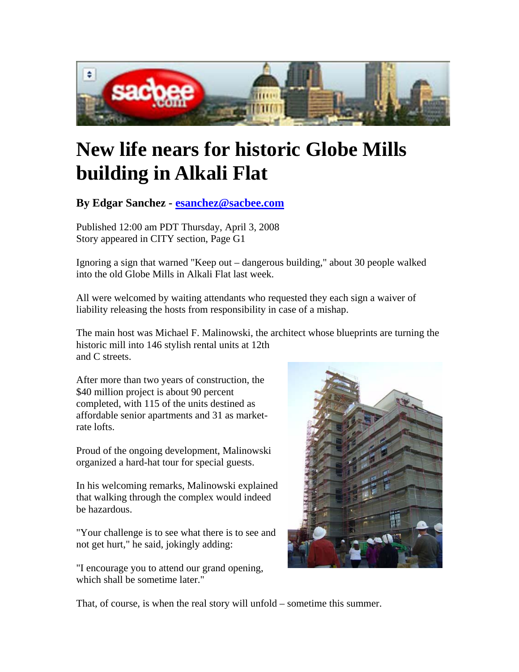

## **New life nears for historic Globe Mills building in Alkali Flat**

**By Edgar Sanchez - esanchez@sacbee.com** 

Published 12:00 am PDT Thursday, April 3, 2008 Story appeared in CITY section, Page G1

Ignoring a sign that warned "Keep out – dangerous building," about 30 people walked into the old Globe Mills in Alkali Flat last week.

All were welcomed by waiting attendants who requested they each sign a waiver of liability releasing the hosts from responsibility in case of a mishap.

The main host was Michael F. Malinowski, the architect whose blueprints are turning the historic mill into 146 stylish rental units at 12th and C streets.

After more than two years of construction, the \$40 million project is about 90 percent completed, with 115 of the units destined as affordable senior apartments and 31 as marketrate lofts.

Proud of the ongoing development, Malinowski organized a hard-hat tour for special guests.

In his welcoming remarks, Malinowski explained that walking through the complex would indeed be hazardous.

"Your challenge is to see what there is to see and not get hurt," he said, jokingly adding:

"I encourage you to attend our grand opening, which shall be sometime later."



That, of course, is when the real story will unfold – sometime this summer.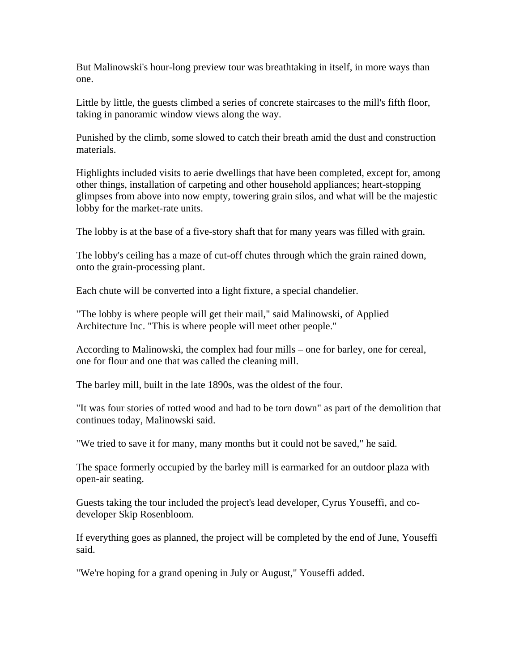But Malinowski's hour-long preview tour was breathtaking in itself, in more ways than one.

Little by little, the guests climbed a series of concrete staircases to the mill's fifth floor, taking in panoramic window views along the way.

Punished by the climb, some slowed to catch their breath amid the dust and construction materials.

Highlights included visits to aerie dwellings that have been completed, except for, among other things, installation of carpeting and other household appliances; heart-stopping glimpses from above into now empty, towering grain silos, and what will be the majestic lobby for the market-rate units.

The lobby is at the base of a five-story shaft that for many years was filled with grain.

The lobby's ceiling has a maze of cut-off chutes through which the grain rained down, onto the grain-processing plant.

Each chute will be converted into a light fixture, a special chandelier.

"The lobby is where people will get their mail," said Malinowski, of Applied Architecture Inc. "This is where people will meet other people."

According to Malinowski, the complex had four mills – one for barley, one for cereal, one for flour and one that was called the cleaning mill.

The barley mill, built in the late 1890s, was the oldest of the four.

"It was four stories of rotted wood and had to be torn down" as part of the demolition that continues today, Malinowski said.

"We tried to save it for many, many months but it could not be saved," he said.

The space formerly occupied by the barley mill is earmarked for an outdoor plaza with open-air seating.

Guests taking the tour included the project's lead developer, Cyrus Youseffi, and codeveloper Skip Rosenbloom.

If everything goes as planned, the project will be completed by the end of June, Youseffi said.

"We're hoping for a grand opening in July or August," Youseffi added.